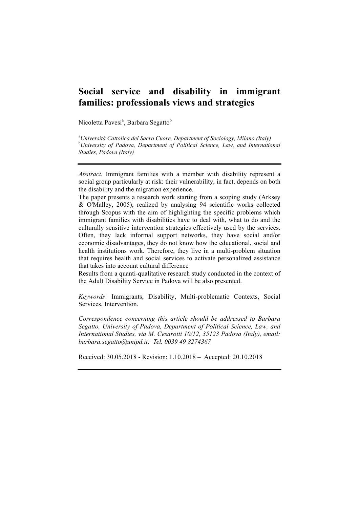# **Social service and disability in immigrant families: professionals views and strategies**

Nicoletta Pavesi<sup>a</sup>, Barbara Segatto<sup>b</sup>

a *Università Cattolica del Sacro Cuore, Department of Sociology, Milano (Italy)* b *University of Padova, Department of Political Science, Law, and International Studies, Padova (Italy)*

*Abstract.* Immigrant families with a member with disability represent a social group particularly at risk: their vulnerability, in fact, depends on both the disability and the migration experience.

The paper presents a research work starting from a scoping study (Arksey & O'Malley, 2005), realized by analysing 94 scientific works collected through Scopus with the aim of highlighting the specific problems which immigrant families with disabilities have to deal with, what to do and the culturally sensitive intervention strategies effectively used by the services. Often, they lack informal support networks, they have social and/or economic disadvantages, they do not know how the educational, social and health institutions work. Therefore, they live in a multi-problem situation that requires health and social services to activate personalized assistance that takes into account cultural difference

Results from a quanti-qualitative research study conducted in the context of the Adult Disability Service in Padova will be also presented.

*Keywords*: Immigrants, Disability, Multi-problematic Contexts, Social Services, Intervention.

*Correspondence concerning this article should be addressed to Barbara Segatto, University of Padova, Department of Political Science, Law, and International Studies, via M. Cesarotti 10/12, 35123 Padova (Italy), email: barbara.segatto@unipd.it; Tel. 0039 49 8274367*

Received: 30.05.2018 - Revision: 1.10.2018 – Accepted: 20.10.2018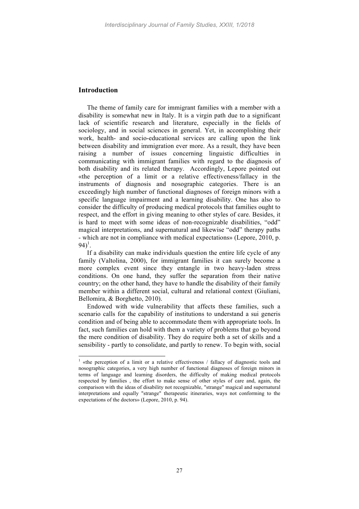## **Introduction**

The theme of family care for immigrant families with a member with a disability is somewhat new in Italy. It is a virgin path due to a significant lack of scientific research and literature, especially in the fields of sociology, and in social sciences in general. Yet, in accomplishing their work, health- and socio-educational services are calling upon the link between disability and immigration ever more. As a result, they have been raising a number of issues concerning linguistic difficulties in communicating with immigrant families with regard to the diagnosis of both disability and its related therapy. Accordingly, Lepore pointed out «the perception of a limit or a relative effectiveness/fallacy in the instruments of diagnosis and nosographic categories. There is an exceedingly high number of functional diagnoses of foreign minors with a specific language impairment and a learning disability. One has also to consider the difficulty of producing medical protocols that families ought to respect, and the effort in giving meaning to other styles of care. Besides, it is hard to meet with some ideas of non-recognizable disabilities, "odd" magical interpretations, and supernatural and likewise "odd" therapy paths - which are not in compliance with medical expectations» (Lepore, 2010, p.  $94)^{1}$ .

If a disability can make individuals question the entire life cycle of any family (Valtolina, 2000), for immigrant families it can surely become a more complex event since they entangle in two heavy-laden stress conditions. On one hand, they suffer the separation from their native country; on the other hand, they have to handle the disability of their family member within a different social, cultural and relational context (Giuliani, Bellomira, & Borghetto, 2010).

Endowed with wide vulnerability that affects these families, such a scenario calls for the capability of institutions to understand a sui generis condition and of being able to accommodate them with appropriate tools. In fact, such families can hold with them a variety of problems that go beyond the mere condition of disability. They do require both a set of skills and a sensibility - partly to consolidate, and partly to renew. To begin with, social

<sup>&</sup>lt;sup>1</sup> «the perception of a limit or a relative effectiveness / fallacy of diagnostic tools and nosographic categories, a very high number of functional diagnoses of foreign minors in terms of language and learning disorders, the difficulty of making medical protocols respected by families , the effort to make sense of other styles of care and, again, the comparison with the ideas of disability not recognizable, "strange" magical and supernatural interpretations and equally "strange" therapeutic itineraries, ways not conforming to the expectations of the doctors» (Lepore, 2010, p. 94).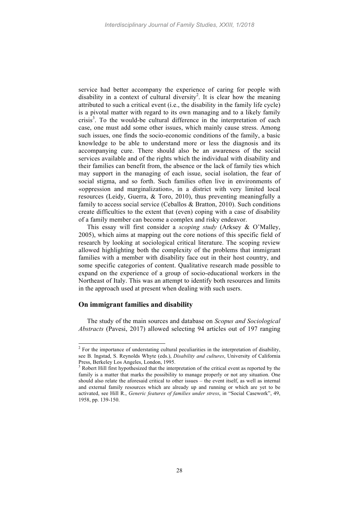service had better accompany the experience of caring for people with disability in a context of cultural diversity<sup>2</sup>. It is clear how the meaning attributed to such a critical event (i.e., the disability in the family life cycle) is a pivotal matter with regard to its own managing and to a likely family crisis<sup>3</sup>. To the would-be cultural difference in the interpretation of each case, one must add some other issues, which mainly cause stress. Among such issues, one finds the socio-economic conditions of the family, a basic knowledge to be able to understand more or less the diagnosis and its accompanying cure. There should also be an awareness of the social services available and of the rights which the individual with disability and their families can benefit from, the absence or the lack of family ties which may support in the managing of each issue, social isolation, the fear of social stigma, and so forth. Such families often live in environments of «oppression and marginalization», in a district with very limited local resources (Leidy, Guerra, & Toro, 2010), thus preventing meaningfully a family to access social service (Ceballos & Bratton, 2010). Such conditions create difficulties to the extent that (even) coping with a case of disability of a family member can become a complex and risky endeavor.

This essay will first consider a *scoping study* (Arksey & O'Malley, 2005), which aims at mapping out the core notions of this specific field of research by looking at sociological critical literature. The scoping review allowed highlighting both the complexity of the problems that immigrant families with a member with disability face out in their host country, and some specific categories of content. Qualitative research made possible to expand on the experience of a group of socio-educational workers in the Northeast of Italy. This was an attempt to identify both resources and limits in the approach used at present when dealing with such users.

### **On immigrant families and disability**

The study of the main sources and database on *Scopus and Sociological Abstracts* (Pavesi, 2017) allowed selecting 94 articles out of 197 ranging

<sup>&</sup>lt;sup>2</sup> For the importance of understating cultural peculiarities in the interpretation of disability, see B. Ingstad, S. Reynolds Whyte (eds.), *Disability and cultures*, University of California Press, Berkeley Los Angeles, London, 1995.<br><sup>3</sup> Robert Hill first hypothesized that the interpretation of the critical event as reported by the

family is a matter that marks the possibility to manage properly or not any situation. One should also relate the aforesaid critical to other issues – the event itself, as well as internal and external family resources which are already up and running or which are yet to be activated, see Hill R., *Generic features of families under stress*, in "Social Casework", 49, 1958, pp. 139-150.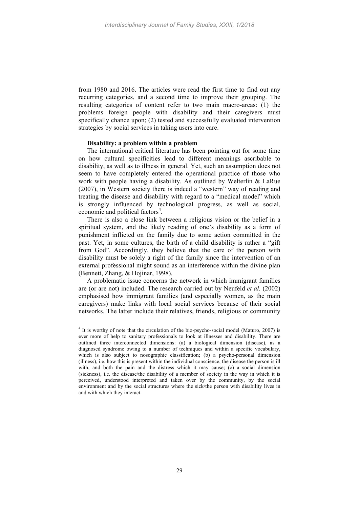from 1980 and 2016. The articles were read the first time to find out any recurring categories, and a second time to improve their grouping. The resulting categories of content refer to two main macro-areas: (1) the problems foreign people with disability and their caregivers must specifically chance upon; (2) tested and successfully evaluated intervention strategies by social services in taking users into care.

#### **Disability: a problem within a problem**

The international critical literature has been pointing out for some time on how cultural specificities lead to different meanings ascribable to disability, as well as to illness in general. Yet, such an assumption does not seem to have completely entered the operational practice of those who work with people having a disability. As outlined by Welterlin & LaRue (2007), in Western society there is indeed a "western" way of reading and treating the disease and disability with regard to a "medical model" which is strongly influenced by technological progress, as well as social, economic and political factors<sup>4</sup>.

There is also a close link between a religious vision or the belief in a spiritual system, and the likely reading of one's disability as a form of punishment inflicted on the family due to some action committed in the past. Yet, in some cultures, the birth of a child disability is rather a "gift from God". Accordingly, they believe that the care of the person with disability must be solely a right of the family since the intervention of an external professional might sound as an interference within the divine plan (Bennett, Zhang, & Hojinar, 1998).

A problematic issue concerns the network in which immigrant families are (or are not) included. The research carried out by Neufeld *et al.* (2002) emphasised how immigrant families (and especially women, as the main caregivers) make links with local social services because of their social networks. The latter include their relatives, friends, religious or community

<sup>&</sup>lt;sup>4</sup> It is worthy of note that the circulation of the bio-psycho-social model (Maturo, 2007) is ever more of help to sanitary professionals to look at illnesses and disability. There are outlined three interconnected dimensions: (a) a biological dimension (disease), as a diagnosed syndrome owing to a number of techniques and within a specific vocabulary, which is also subject to nosographic classification; (b) a psycho-personal dimension (illness), i.e. how this is present within the individual conscience, the disease the person is ill with, and both the pain and the distress which it may cause; (c) a social dimension (sickness), i.e. the disease/the disability of a member of society in the way in which it is perceived, understood interpreted and taken over by the community, by the social environment and by the social structures where the sick/the person with disability lives in and with which they interact.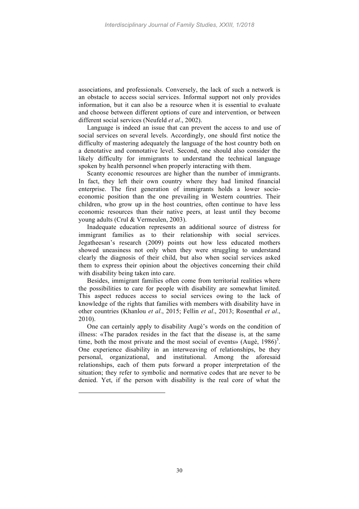associations, and professionals. Conversely, the lack of such a network is an obstacle to access social services. Informal support not only provides information, but it can also be a resource when it is essential to evaluate and choose between different options of cure and intervention, or between different social services (Neufeld *et al*., 2002).

Language is indeed an issue that can prevent the access to and use of social services on several levels. Accordingly, one should first notice the difficulty of mastering adequately the language of the host country both on a denotative and connotative level. Second, one should also consider the likely difficulty for immigrants to understand the technical language spoken by health personnel when properly interacting with them.

Scanty economic resources are higher than the number of immigrants. In fact, they left their own country where they had limited financial enterprise. The first generation of immigrants holds a lower socioeconomic position than the one prevailing in Western countries. Their children, who grow up in the host countries, often continue to have less economic resources than their native peers, at least until they become young adults (Crul & Vermeulen, 2003).

Inadequate education represents an additional source of distress for immigrant families as to their relationship with social services. Jegatheesan's research (2009) points out how less educated mothers showed uneasiness not only when they were struggling to understand clearly the diagnosis of their child, but also when social services asked them to express their opinion about the objectives concerning their child with disability being taken into care.

Besides, immigrant families often come from territorial realities where the possibilities to care for people with disability are somewhat limited. This aspect reduces access to social services owing to the lack of knowledge of the rights that families with members with disability have in other countries (Khanlou *et al*., 2015; Fellin *et al*., 2013; Rosenthal *et al*., 2010).

One can certainly apply to disability Augè's words on the condition of illness: «The paradox resides in the fact that the disease is, at the same time, both the most private and the most social of events» (Augè,  $1986$ )<sup>5</sup>. One experience disability in an interweaving of relationships, be they personal, organizational, and institutional. Among the aforesaid relationships, each of them puts forward a proper interpretation of the situation; they refer to symbolic and normative codes that are never to be denied. Yet, if the person with disability is the real core of what the

 $\overline{a}$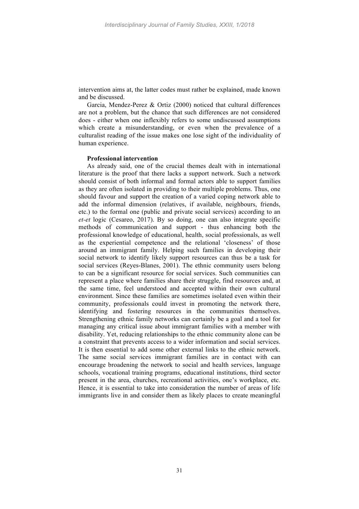intervention aims at, the latter codes must rather be explained, made known and be discussed.

Garcia, Mendez-Perez & Ortiz (2000) noticed that cultural differences are not a problem, but the chance that such differences are not considered does - either when one inflexibly refers to some undiscussed assumptions which create a misunderstanding, or even when the prevalence of a culturalist reading of the issue makes one lose sight of the individuality of human experience.

#### **Professional intervention**

As already said, one of the crucial themes dealt with in international literature is the proof that there lacks a support network. Such a network should consist of both informal and formal actors able to support families as they are often isolated in providing to their multiple problems. Thus, one should favour and support the creation of a varied coping network able to add the informal dimension (relatives, if available, neighbours, friends, etc.) to the formal one (public and private social services) according to an *et-et* logic (Cesareo, 2017). By so doing, one can also integrate specific methods of communication and support - thus enhancing both the professional knowledge of educational, health, social professionals, as well as the experiential competence and the relational 'closeness' of those around an immigrant family. Helping such families in developing their social network to identify likely support resources can thus be a task for social services (Reyes-Blanes, 2001). The ethnic community users belong to can be a significant resource for social services. Such communities can represent a place where families share their struggle, find resources and, at the same time, feel understood and accepted within their own cultural environment. Since these families are sometimes isolated even within their community, professionals could invest in promoting the network there, identifying and fostering resources in the communities themselves. Strengthening ethnic family networks can certainly be a goal and a tool for managing any critical issue about immigrant families with a member with disability. Yet, reducing relationships to the ethnic community alone can be a constraint that prevents access to a wider information and social services. It is then essential to add some other external links to the ethnic network. The same social services immigrant families are in contact with can encourage broadening the network to social and health services, language schools, vocational training programs, educational institutions, third sector present in the area, churches, recreational activities, one's workplace, etc. Hence, it is essential to take into consideration the number of areas of life immigrants live in and consider them as likely places to create meaningful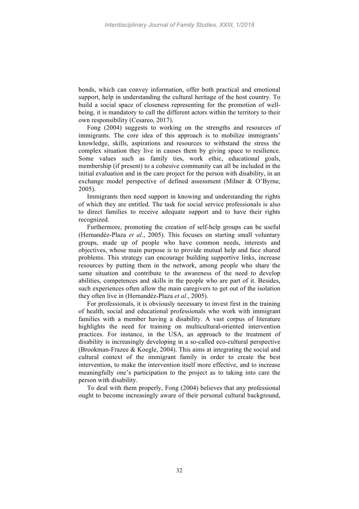bonds, which can convey information, offer both practical and emotional support, help in understanding the cultural heritage of the host country. To build a social space of closeness representing for the promotion of wellbeing, it is mandatory to call the different actors within the territory to their own responsibility (Cesareo, 2017).

Fong (2004) suggests to working on the strengths and resources of immigrants. The core idea of this approach is to mobilize immigrants' knowledge, skills, aspirations and resources to withstand the stress the complex situation they live in causes them by giving space to resilience. Some values such as family ties, work ethic, educational goals, membership (if present) to a cohesive community can all be included in the initial evaluation and in the care project for the person with disability, in an exchange model perspective of defined assessment (Milner & O'Byrne, 2005).

Immigrants then need support in knowing and understanding the rights of which they are entitled. The task for social service professionals is also to direct families to receive adequate support and to have their rights recognized.

Furthermore, promoting the creation of self-help groups can be useful (Hernandéz-Plaza *et al.*, 2005). This focuses on starting small voluntary groups, made up of people who have common needs, interests and objectives, whose main purpose is to provide mutual help and face shared problems. This strategy can encourage building supportive links, increase resources by putting them in the network, among people who share the same situation and contribute to the awareness of the need to develop abilities, competences and skills in the people who are part of it. Besides, such experiences often allow the main caregivers to get out of the isolation they often live in (Hernandéz-Plaza *et al.*, 2005).

For professionals, it is obviously necessary to invest first in the training of health, social and educational professionals who work with immigrant families with a member having a disability. A vast corpus of literature highlights the need for training on multicultural-oriented intervention practices. For instance, in the USA, an approach to the treatment of disability is increasingly developing in a so-called eco-cultural perspective (Brookman-Frazee & Koegle, 2004). This aims at integrating the social and cultural context of the immigrant family in order to create the best intervention, to make the intervention itself more effective, and to increase meaningfully one's participation to the project as to taking into care the person with disability.

To deal with them properly, Fong (2004) believes that any professional ought to become increasingly aware of their personal cultural background,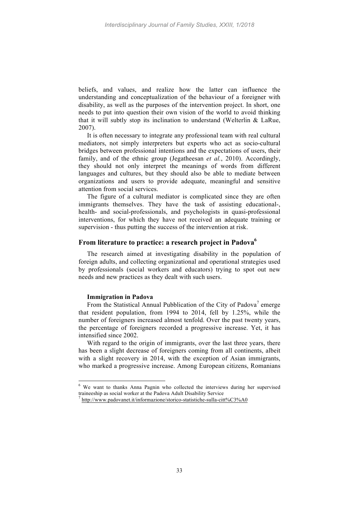beliefs, and values, and realize how the latter can influence the understanding and conceptualization of the behaviour of a foreigner with disability, as well as the purposes of the intervention project. In short, one needs to put into question their own vision of the world to avoid thinking that it will subtly stop its inclination to understand (Welterlin & LaRue, 2007).

It is often necessary to integrate any professional team with real cultural mediators, not simply interpreters but experts who act as socio-cultural bridges between professional intentions and the expectations of users, their family, and of the ethnic group (Jegatheesan *et al.*, 2010). Accordingly, they should not only interpret the meanings of words from different languages and cultures, but they should also be able to mediate between organizations and users to provide adequate, meaningful and sensitive attention from social services.

The figure of a cultural mediator is complicated since they are often immigrants themselves. They have the task of assisting educational-, health- and social-professionals, and psychologists in quasi-professional interventions, for which they have not received an adequate training or supervision - thus putting the success of the intervention at risk.

#### **From literature to practice: a research project in Padova6**

The research aimed at investigating disability in the population of foreign adults, and collecting organizational and operational strategies used by professionals (social workers and educators) trying to spot out new needs and new practices as they dealt with such users.

#### **Immigration in Padova**

From the Statistical Annual Pubblication of the City of Padova<sup>7</sup> emerge that resident population, from 1994 to 2014, fell by 1.25%, while the number of foreigners increased almost tenfold. Over the past twenty years, the percentage of foreigners recorded a progressive increase. Yet, it has intensified since 2002.

With regard to the origin of immigrants, over the last three years, there has been a slight decrease of foreigners coming from all continents, albeit with a slight recovery in 2014, with the exception of Asian immigrants, who marked a progressive increase. Among European citizens, Romanians

 <sup>6</sup> We want to thanks Anna Pagnin who collected the interviews during her supervised traineeship as social worker at the Padova Adult Disability Service <sup>7</sup> http://www.padovanet.it/informazione/storico-statistiche-sulla-citt%C3%A0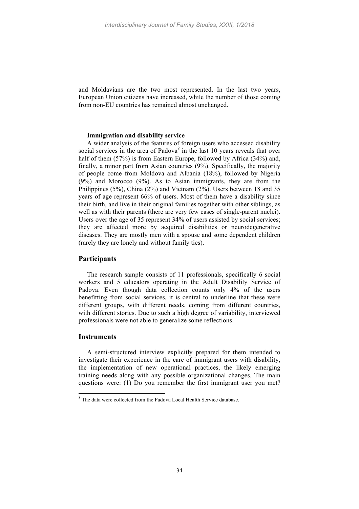and Moldavians are the two most represented. In the last two years, European Union citizens have increased, while the number of those coming from non-EU countries has remained almost unchanged.

#### **Immigration and disability service**

A wider analysis of the features of foreign users who accessed disability social services in the area of Padova $\delta$  in the last 10 years reveals that over half of them (57%) is from Eastern Europe, followed by Africa (34%) and, finally, a minor part from Asian countries (9%). Specifically, the majority of people come from Moldova and Albania (18%), followed by Nigeria (9%) and Morocco (9%). As to Asian immigrants, they are from the Philippines (5%), China (2%) and Vietnam (2%). Users between 18 and 35 years of age represent 66% of users. Most of them have a disability since their birth, and live in their original families together with other siblings, as well as with their parents (there are very few cases of single-parent nuclei). Users over the age of 35 represent 34% of users assisted by social services; they are affected more by acquired disabilities or neurodegenerative diseases. They are mostly men with a spouse and some dependent children (rarely they are lonely and without family ties).

## **Participants**

The research sample consists of 11 professionals, specifically 6 social workers and 5 educators operating in the Adult Disability Service of Padova. Even though data collection counts only 4% of the users benefitting from social services, it is central to underline that these were different groups, with different needs, coming from different countries, with different stories. Due to such a high degree of variability, interviewed professionals were not able to generalize some reflections.

#### **Instruments**

A semi-structured interview explicitly prepared for them intended to investigate their experience in the care of immigrant users with disability, the implementation of new operational practices, the likely emerging training needs along with any possible organizational changes. The main questions were: (1) Do you remember the first immigrant user you met?

 <sup>8</sup> The data were collected from the Padova Local Health Service database.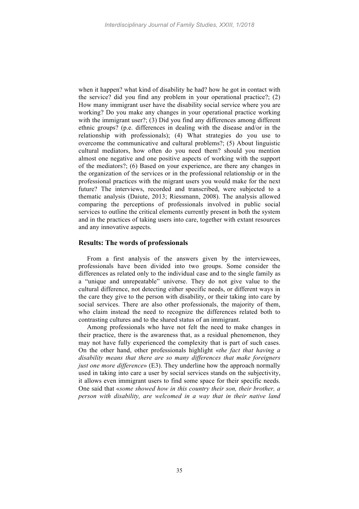when it happen? what kind of disability he had? how he got in contact with the service? did you find any problem in your operational practice?; (2) How many immigrant user have the disability social service where you are working? Do you make any changes in your operational practice working with the immigrant user?; (3) Did you find any differences among different ethnic groups? (p.e. differences in dealing with the disease and/or in the relationship with professionals); (4) What strategies do you use to overcome the communicative and cultural problems?; (5) About linguistic cultural mediators, how often do you need them? should you mention almost one negative and one positive aspects of working with the support of the mediators?; (6) Based on your experience, are there any changes in the organization of the services or in the professional relationship or in the professional practices with the migrant users you would make for the next future? The interviews, recorded and transcribed, were subjected to a thematic analysis (Daiute, 2013; Riessmann, 2008). The analysis allowed comparing the perceptions of professionals involved in public social services to outline the critical elements currently present in both the system and in the practices of taking users into care, together with extant resources and any innovative aspects.

## **Results: The words of professionals**

From a first analysis of the answers given by the interviewees, professionals have been divided into two groups. Some consider the differences as related only to the individual case and to the single family as a "unique and unrepeatable" universe. They do not give value to the cultural difference, not detecting either specific needs, or different ways in the care they give to the person with disability, or their taking into care by social services. There are also other professionals, the majority of them, who claim instead the need to recognize the differences related both to contrasting cultures and to the shared status of an immigrant.

Among professionals who have not felt the need to make changes in their practice, there is the awareness that, as a residual phenomenon, they may not have fully experienced the complexity that is part of such cases. On the other hand, other professionals highlight «*the fact that having a disability means that there are so many differences that make foreigners just one more difference*» (E3). They underline how the approach normally used in taking into care a user by social services stands on the subjectivity, it allows even immigrant users to find some space for their specific needs. One said that «*some showed how in this country their son, their brother, a person with disability, are welcomed in a way that in their native land*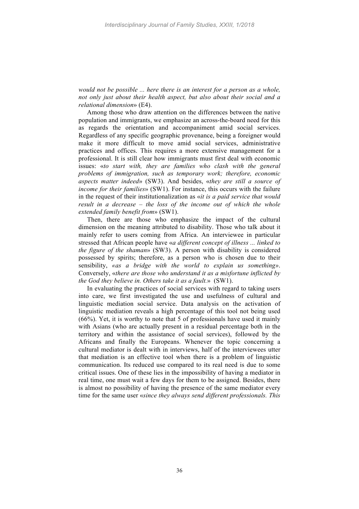*would not be possible ... here there is an interest for a person as a whole, not only just about their health aspect, but also about their social and a relational dimension*» (E4).

Among those who draw attention on the differences between the native population and immigrants, we emphasize an across-the-board need for this as regards the orientation and accompaniment amid social services. Regardless of any specific geographic provenance, being a foreigner would make it more difficult to move amid social services, administrative practices and offices. This requires a more extensive management for a professional. It is still clear how immigrants must first deal with economic issues: «*to start with, they are families who clash with the general problems of immigration, such as temporary work; therefore, economic aspects matter indeed*» (SW3). And besides, «*they are still a source of income for their families*» (SW1). For instance, this occurs with the failure in the request of their institutionalization as «*it is a paid service that would result in a decrease – the loss of the income out of which the whole extended family benefit from*» (SW1).

Then, there are those who emphasize the impact of the cultural dimension on the meaning attributed to disability. Those who talk about it mainly refer to users coming from Africa. An interviewee in particular stressed that African people have «*a different concept of illness ... linked to the figure of the shaman*» (SW3). A person with disability is considered possessed by spirits; therefore, as a person who is chosen due to their sensibility, *«as a bridge with the world to explain us something»*. Conversely, «*there are those who understand it as a misfortune inflicted by the God they believe in. Others take it as a fault.*» (SW1).

In evaluating the practices of social services with regard to taking users into care, we first investigated the use and usefulness of cultural and linguistic mediation social service. Data analysis on the activation of linguistic mediation reveals a high percentage of this tool not being used (66%). Yet, it is worthy to note that 5 of professionals have used it mainly with Asians (who are actually present in a residual percentage both in the territory and within the assistance of social services), followed by the Africans and finally the Europeans. Whenever the topic concerning a cultural mediator is dealt with in interviews, half of the interviewees utter that mediation is an effective tool when there is a problem of linguistic communication. Its reduced use compared to its real need is due to some critical issues. One of these lies in the impossibility of having a mediator in real time, one must wait a few days for them to be assigned. Besides, there is almost no possibility of having the presence of the same mediator every time for the same user «*since they always send different professionals. This*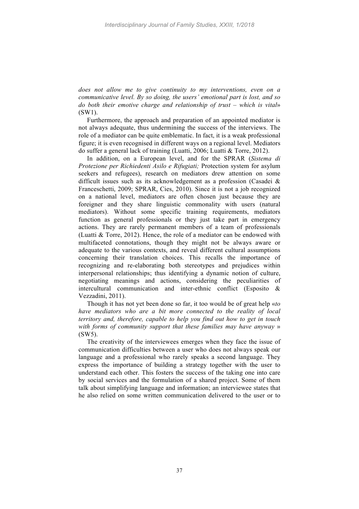*does not allow me to give continuity to my interventions, even on a communicative level. By so doing, the users' emotional part is lost, and so do both their emotive charge and relationship of trust – which is vital*» (SW1).

Furthermore, the approach and preparation of an appointed mediator is not always adequate, thus undermining the success of the interviews. The role of a mediator can be quite emblematic. In fact, it is a weak professional figure; it is even recognised in different ways on a regional level. Mediators do suffer a general lack of training (Luatti, 2006; Luatti & Torre, 2012).

In addition, on a European level, and for the SPRAR (*Sistema di Protezione per Richiedenti Asilo e Rifugiati;* Protection system for asylum seekers and refugees), research on mediators drew attention on some difficult issues such as its acknowledgement as a profession (Casadei & Franceschetti, 2009; SPRAR, Cies, 2010). Since it is not a job recognized on a national level, mediators are often chosen just because they are foreigner and they share linguistic commonality with users (natural mediators). Without some specific training requirements, mediators function as general professionals or they just take part in emergency actions. They are rarely permanent members of a team of professionals (Luatti & Torre, 2012). Hence, the role of a mediator can be endowed with multifaceted connotations, though they might not be always aware or adequate to the various contexts, and reveal different cultural assumptions concerning their translation choices. This recalls the importance of recognizing and re-elaborating both stereotypes and prejudices within interpersonal relationships; thus identifying a dynamic notion of culture, negotiating meanings and actions, considering the peculiarities of intercultural communication and inter-ethnic conflict (Esposito & Vezzadini, 2011).

Though it has not yet been done so far, it too would be of great help «*to have mediators who are a bit more connected to the reality of local territory and, therefore, capable to help you find out how to get in touch with forms of community support that these families may have anyway* » (SW5).

The creativity of the interviewees emerges when they face the issue of communication difficulties between a user who does not always speak our language and a professional who rarely speaks a second language. They express the importance of building a strategy together with the user to understand each other. This fosters the success of the taking one into care by social services and the formulation of a shared project. Some of them talk about simplifying language and information; an interviewee states that he also relied on some written communication delivered to the user or to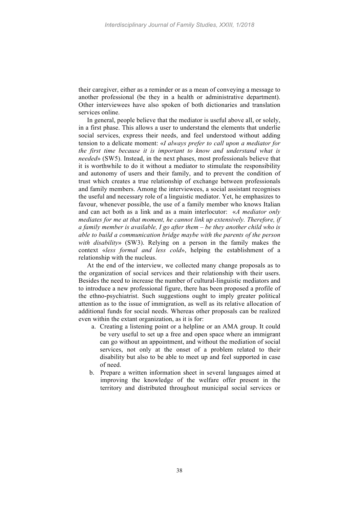their caregiver, either as a reminder or as a mean of conveying a message to another professional (be they in a health or administrative department). Other interviewees have also spoken of both dictionaries and translation services online.

In general, people believe that the mediator is useful above all, or solely, in a first phase. This allows a user to understand the elements that underlie social services, express their needs, and feel understood without adding tension to a delicate moment: «*I always prefer to call upon a mediator for the first time because it is important to know and understand what is needed*» (SW5). Instead, in the next phases, most professionals believe that it is worthwhile to do it without a mediator to stimulate the responsibility and autonomy of users and their family, and to prevent the condition of trust which creates a true relationship of exchange between professionals and family members. Among the interviewees, a social assistant recognises the useful and necessary role of a linguistic mediator. Yet, he emphasizes to favour, whenever possible, the use of a family member who knows Italian and can act both as a link and as a main interlocutor: «*A mediator only mediates for me at that moment, he cannot link up extensively. Therefore, if a family member is available, I go after them – be they another child who is able to build a communication bridge maybe with the parents of the person with disability*» (SW3). Relying on a person in the family makes the context «*less formal and less cold*», helping the establishment of a relationship with the nucleus.

At the end of the interview, we collected many change proposals as to the organization of social services and their relationship with their users. Besides the need to increase the number of cultural-linguistic mediators and to introduce a new professional figure, there has been proposed a profile of the ethno-psychiatrist. Such suggestions ought to imply greater political attention as to the issue of immigration, as well as its relative allocation of additional funds for social needs. Whereas other proposals can be realized even within the extant organization, as it is for:

- a. Creating a listening point or a helpline or an AMA group. It could be very useful to set up a free and open space where an immigrant can go without an appointment, and without the mediation of social services, not only at the onset of a problem related to their disability but also to be able to meet up and feel supported in case of need.
- b. Prepare a written information sheet in several languages aimed at improving the knowledge of the welfare offer present in the territory and distributed throughout municipal social services or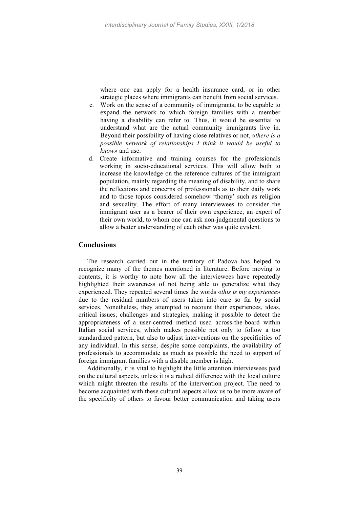where one can apply for a health insurance card, or in other strategic places where immigrants can benefit from social services.

- c. Work on the sense of a community of immigrants, to be capable to expand the network to which foreign families with a member having a disability can refer to. Thus, it would be essential to understand what are the actual community immigrants live in. Beyond their possibility of having close relatives or not, «*there is a possible network of relationships I think it would be useful to know*» and use.
- d. Create informative and training courses for the professionals working in socio-educational services. This will allow both to increase the knowledge on the reference cultures of the immigrant population, mainly regarding the meaning of disability, and to share the reflections and concerns of professionals as to their daily work and to those topics considered somehow 'thorny' such as religion and sexuality. The effort of many interviewees to consider the immigrant user as a bearer of their own experience, an expert of their own world, to whom one can ask non-judgmental questions to allow a better understanding of each other was quite evident.

## **Conclusions**

The research carried out in the territory of Padova has helped to recognize many of the themes mentioned in literature. Before moving to contents, it is worthy to note how all the interviewees have repeatedly highlighted their awareness of not being able to generalize what they experienced. They repeated several times the words «*this is my experience*» due to the residual numbers of users taken into care so far by social services. Nonetheless, they attempted to recount their experiences, ideas, critical issues, challenges and strategies, making it possible to detect the appropriateness of a user-centred method used across-the-board within Italian social services, which makes possible not only to follow a too standardized pattern, but also to adjust interventions on the specificities of any individual. In this sense, despite some complaints, the availability of professionals to accommodate as much as possible the need to support of foreign immigrant families with a disable member is high.

Additionally, it is vital to highlight the little attention interviewees paid on the cultural aspects, unless it is a radical difference with the local culture which might threaten the results of the intervention project. The need to become acquainted with these cultural aspects allow us to be more aware of the specificity of others to favour better communication and taking users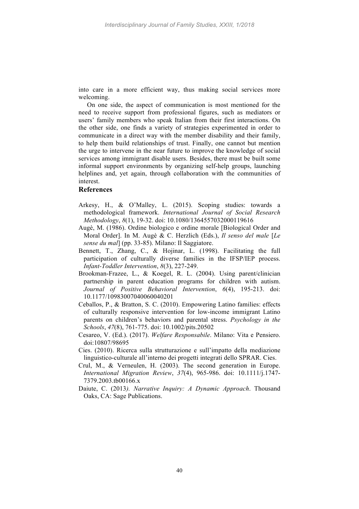into care in a more efficient way, thus making social services more welcoming.

On one side, the aspect of communication is most mentioned for the need to receive support from professional figures, such as mediators or users' family members who speak Italian from their first interactions. On the other side, one finds a variety of strategies experimented in order to communicate in a direct way with the member disability and their family, to help them build relationships of trust. Finally, one cannot but mention the urge to intervene in the near future to improve the knowledge of social services among immigrant disable users. Besides, there must be built some informal support environments by organizing self-help groups, launching helplines and, yet again, through collaboration with the communities of interest.

# **References**

- Arkesy, H., & O'Malley, L. (2015). Scoping studies: towards a methodological framework. *International Journal of Social Research Methodology*, *8*(1), 19-32. doi: 10.1080/1364557032000119616
- Augè, M. (1986). Ordine biologico e ordine morale [Biological Order and Moral Order]. In M. Augè & C. Herzlich (Eds.), *Il senso del male* [*Le sense du mal*] (pp. 33-85). Milano: Il Saggiatore.
- Bennett, T., Zhang, C., & Hojinar, L. (1998). Facilitating the full participation of culturally diverse families in the IFSP/IEP process. *Infant-Toddler Intervention*, *8*(3), 227-249.
- Brookman-Frazee, L., & Koegel, R. L. (2004). Using parent/clinician partnership in parent education programs for children with autism. *Journal of Positive Behavioral Intervention*, *6*(4), 195-213. doi: 10.1177/10983007040060040201
- Ceballos, P., & Bratton, S. C. (2010). Empowering Latino families: effects of culturally responsive intervention for low-income immigrant Latino parents on children's behaviors and parental stress. *Psychology in the Schools*, *47*(8), 761-775. doi: 10.1002/pits.20502
- Cesareo, V. (Ed.). (2017). *Welfare Responsabile*. Milano: Vita e Pensiero. doi:10807/98695
- Cies. (2010). Ricerca sulla strutturazione e sull'impatto della mediazione linguistico-culturale all'interno dei progetti integrati dello SPRAR. Cies.
- Crul, M., & Verneulen, H. (2003). The second generation in Europe. *International Migration Review*, *37*(4), 965-986. doi: 10.1111/j.1747- 7379.2003.tb00166.x
- Daiute, C. (2013*). Narrative Inquiry: A Dynamic Approach*. Thousand Oaks, CA: Sage Publications.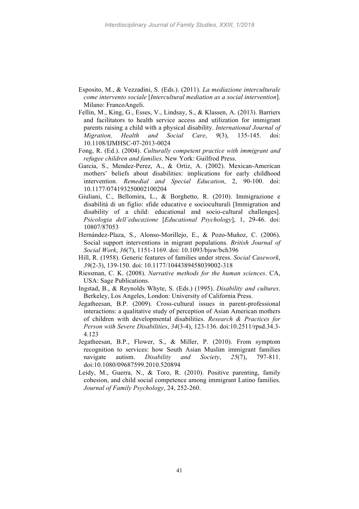- Esposito, M., & Vezzadini, S. (Eds.). (2011). *La mediazione interculturale come intervento sociale* [*Intercultural mediation as a social intervention*]. Milano: FrancoAngeli.
- Fellin, M., King, G., Esses, V., Lindsay, S., & Klassen, A. (2013). Barriers and facilitators to health service access and utilization for immigrant parents raising a child with a physical disability. *International Journal of Migration, Health and Social Care*, *9*(3), 135-145. doi: 10.1108/IJMHSC-07-2013-0024
- Fong, R. (Ed.). (2004). *Culturally competent practice with immigrant and refugee children and families*. New York: Guilfrod Press.
- Garcia, S., Mendez-Perez, A., & Ortiz, A. (2002). Mexican-American mothers' beliefs about disabilities: implications for early childhood intervention. *Remedial and Special Education*, 2, 90-100. doi: 10.1177/074193250002100204
- Giuliani, C., Bellomira, L., & Borghetto, R. (2010). Immigrazione e disabilità di un figlio: sfide educative e socioculturali [Immigration and disability of a child: educational and socio-cultural challenges]. *Psicologia dell'educazione* [*Educational Psychology*], 1, 29-46. doi: 10807/87053
- Hernández-Plaza, S., Alonso-Morillejo, E., & Pozo-Muñoz, C. (2006). Social support interventions in migrant populations. *British Journal of Social Work*, *36*(7), 1151-1169. doi: 10.1093/bjsw/bch396
- Hill, R. (1958). Generic features of families under stress. *Social Casework*, *39*(2-3), 139-150. doi: 10.1177/1044389458039002-318
- Riessman, C. K. (2008). *Narrative methods for the human sciences*. CA, USA: Sage Publications.
- Ingstad, B., & Reynolds Whyte, S. (Eds.) (1995). *Disability and cultures*. Berkeley, Los Angeles, London: University of California Press.
- Jegatheesan, B.P. (2009). Cross-cultural issues in parent-professional interactions: a qualitative study of perception of Asian American mothers of children with developmental disabilities. *Research & Practices for Person with Severe Disabilities*, *34*(3-4), 123-136. doi:10.2511/rpsd.34.3- 4.123
- Jegatheesan, B.P., Flower, S., & Miller, P. (2010). From symptom recognition to services: how South Asian Muslim immigrant families navigate autism. *Disability and Society*, *25*(7), 797-811. doi:10.1080/09687599.2010.520894
- Leidy, M., Guerra, N., & Toro, R. (2010). Positive parenting, family cohesion, and child social competence among immigrant Latino families. *Journal of Family Psychology*, 24, 252-260.